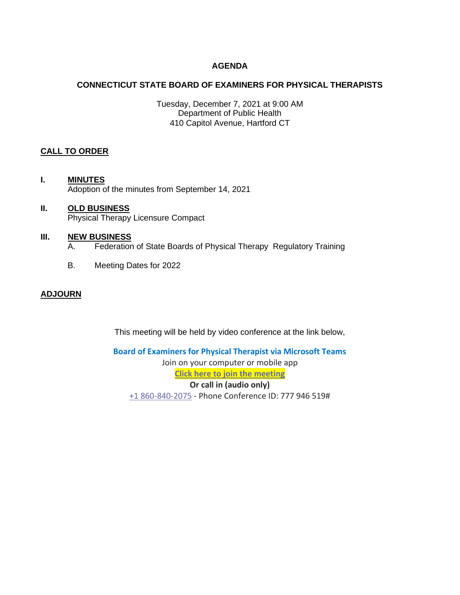## **AGENDA**

## **CONNECTICUT STATE BOARD OF EXAMINERS FOR PHYSICAL THERAPISTS**

Tuesday, December 7, 2021 at 9:00 AM Department of Public Health 410 Capitol Avenue, Hartford CT

## **CALL TO ORDER**

- **I. MINUTES** Adoption of the minutes from September 14, 2021
- **II. OLD BUSINESS** Physical Therapy Licensure Compact

### **III. NEW BUSINESS**

- A. Federation of State Boards of Physical Therapy Regulatory Training
- B. Meeting Dates for 2022

## **ADJOURN**

This meeting will be held by video conference at the link below,

**Board of Examiners for Physical Therapist via Microsoft Teams** Join on your computer or mobile app **[Click here to join the meeting](https://teams.microsoft.com/l/meetup-join/19%3ameeting_ZTBhYmRiZmYtN2Q3YS00NjhkLWI1YzItYmNlNDgzYmYwOGZh%40thread.v2/0?context=%7b%22Tid%22%3a%22118b7cfa-a3dd-48b9-b026-31ff69bb738b%22%2c%22Oid%22%3a%22735c43f2-4aee-4b5f-b05e-0c535078f579%22%7d) Or call in (audio only)** [+1 860-840-2075](tel:+18608402075,,777946519# ) - Phone Conference ID: 777 946 519#